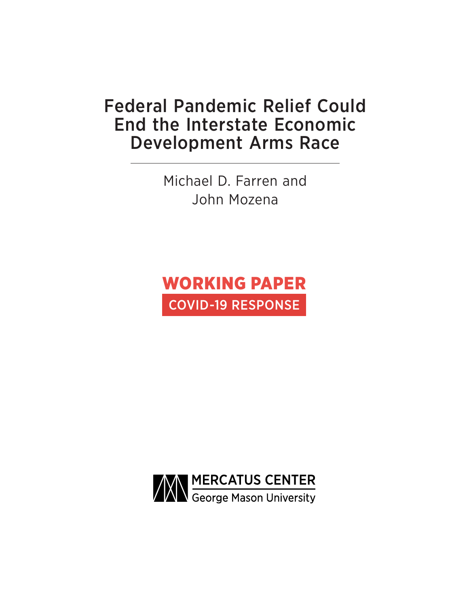# Federal Pandemic Relief Could End the Interstate Economic Development Arms Race

Michael D. Farren and John Mozena



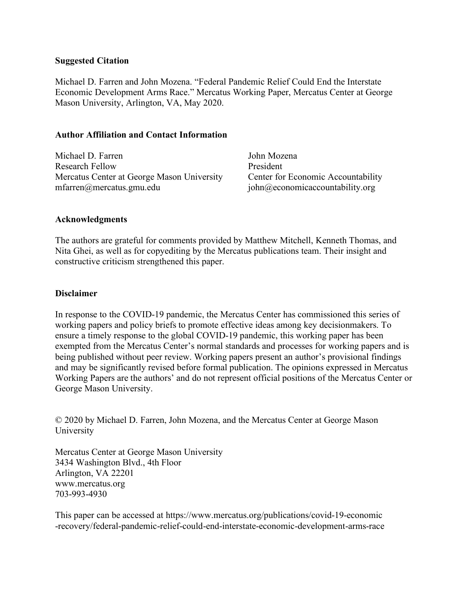# **Suggested Citation**

Michael D. Farren and John Mozena. "Federal Pandemic Relief Could End the Interstate Economic Development Arms Race." Mercatus Working Paper, Mercatus Center at George Mason University, Arlington, VA, May 2020.

# **Author Affiliation and Contact Information**

Michael D. Farren John Mozena Research Fellow President Mercatus Center at George Mason University Center for Economic Accountability mfarren@mercatus.gmu.edu john@economicaccountability.org

# **Acknowledgments**

The authors are grateful for comments provided by Matthew Mitchell, Kenneth Thomas, and Nita Ghei, as well as for copyediting by the Mercatus publications team. Their insight and constructive criticism strengthened this paper.

# **Disclaimer**

In response to the COVID-19 pandemic, the Mercatus Center has commissioned this series of working papers and policy briefs to promote effective ideas among key decisionmakers. To ensure a timely response to the global COVID-19 pandemic, this working paper has been exempted from the Mercatus Center's normal standards and processes for working papers and is being published without peer review. Working papers present an author's provisional findings and may be significantly revised before formal publication. The opinions expressed in Mercatus Working Papers are the authors' and do not represent official positions of the Mercatus Center or George Mason University.

© 2020 by Michael D. Farren, John Mozena, and the Mercatus Center at George Mason University

Mercatus Center at George Mason University 3434 Washington Blvd., 4th Floor Arlington, VA 22201 www.mercatus.org 703-993-4930

This paper can be accessed at [https://www.mercatus.org/publications/covid-19-economic](https://www.mercatus.org/publications/covid-19-economic-recovery/federal-pandemic-relief-could-end-interstate-economic-development-arms-race) [-recovery/federal-pandemic-relief-could-end-interstate-economic-development-arms-race](https://www.mercatus.org/publications/covid-19-economic-recovery/federal-pandemic-relief-could-end-interstate-economic-development-arms-race)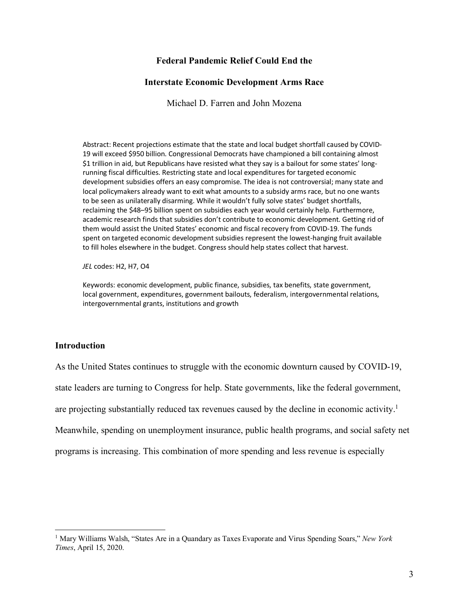# **Federal Pandemic Relief Could End the**

### **Interstate Economic Development Arms Race**

Michael D. Farren and John Mozena

Abstract: Recent projections estimate that the state and local budget shortfall caused by COVID-19 will exceed \$950 billion. Congressional Democrats have championed a bill containing almost \$1 trillion in aid, but Republicans have resisted what they say is a bailout for some states' longrunning fiscal difficulties. Restricting state and local expenditures for targeted economic development subsidies offers an easy compromise. The idea is not controversial; many state and local policymakers already want to exit what amounts to a subsidy arms race, but no one wants to be seen as unilaterally disarming. While it wouldn't fully solve states' budget shortfalls, reclaiming the \$48–95 billion spent on subsidies each year would certainly help. Furthermore, academic research finds that subsidies don't contribute to economic development. Getting rid of them would assist the United States' economic and fiscal recovery from COVID-19. The funds spent on targeted economic development subsidies represent the lowest-hanging fruit available to fill holes elsewhere in the budget. Congress should help states collect that harvest.

*JEL* codes: H2, H7, O4

Keywords: economic development, public finance, subsidies, tax benefits, state government, local government, expenditures, government bailouts, federalism, intergovernmental relations, intergovernmental grants, institutions and growth

## **Introduction**

As the United States continues to struggle with the economic downturn caused by COVID-19, state leaders are turning to Congress for help. State governments, like the federal government, are projecting substantially reduced tax revenues caused by the decline in economic activity.<sup>1</sup> Meanwhile, spending on unemployment insurance, public health programs, and social safety net programs is increasing. This combination of more spending and less revenue is especially

 <sup>1</sup> Mary Williams Walsh, "States Are in a Quandary as Taxes Evaporate and Virus Spending Soars," *New York Times*, April 15, 2020.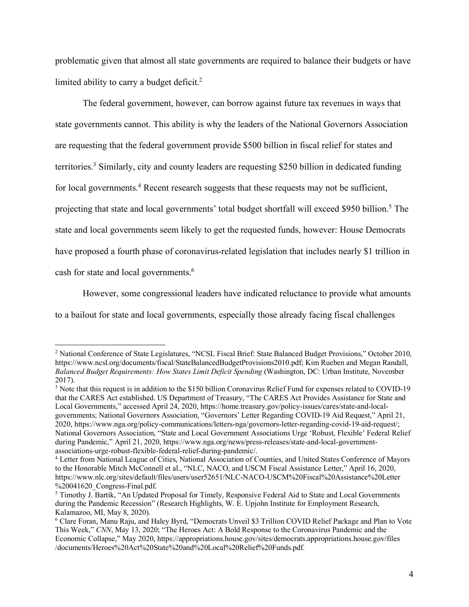problematic given that almost all state governments are required to balance their budgets or have limited ability to carry a budget deficit. $2$ 

The federal government, however, can borrow against future tax revenues in ways that state governments cannot. This ability is why the leaders of the National Governors Association are requesting that the federal government provide \$500 billion in fiscal relief for states and territories. <sup>3</sup> Similarly, city and county leaders are requesting \$250 billion in dedicated funding for local governments.<sup>4</sup> Recent research suggests that these requests may not be sufficient, projecting that state and local governments' total budget shortfall will exceed \$950 billion.<sup>5</sup> The state and local governments seem likely to get the requested funds, however: House Democrats have proposed a fourth phase of coronavirus-related legislation that includes nearly \$1 trillion in cash for state and local governments.<sup>6</sup>

However, some congressional leaders have indicated reluctance to provide what amounts

to a bailout for state and local governments, especially those already facing fiscal challenges

 <sup>2</sup> National Conference of State Legislatures, "NCSL Fiscal Brief: State Balanced Budget Provisions," October 2010, [https://www.ncsl.org/documents/fiscal/StateBalancedBudgetProvisions2010.pdf;](https://www.ncsl.org/documents/fiscal/StateBalancedBudgetProvisions2010.pdf) Kim Rueben and Megan Randall, *Balanced Budget Requirements: How States Limit Deficit Spending* (Washington, DC: Urban Institute, November 2017).

<sup>&</sup>lt;sup>3</sup> Note that this request is in addition to the \$150 billion Coronavirus Relief Fund for expenses related to COVID-19 that the CARES Act established. US Department of Treasury, "The CARES Act Provides Assistance for State and Local Governments," accessed April 24, 2020[, https://home.treasury.gov/policy-issues/cares/state-and-local](https://home.treasury.gov/policy-issues/cares/state-and-local-governments)[governments;](https://home.treasury.gov/policy-issues/cares/state-and-local-governments) National Governors Association, "Governors' Letter Regarding COVID-19 Aid Request," April 21, 2020, [https://www.nga.org/policy-communications/letters-nga/governors-letter-regarding-covid-19-aid-request/;](https://www.nga.org/policy-communications/letters-nga/governors-letter-regarding-covid-19-aid-request/) National Governors Association, "State and Local Government Associations Urge 'Robust, Flexible' Federal Relief during Pandemic," April 21, 2020, [https://www.nga.org/news/press-releases/state-and-local-government](https://www.nga.org/news/press-releases/state-and-local-government-associations-urge-robust-flexible-federal-relief-during-pandemic/)[associations-urge-robust-flexible-federal-relief-during-pandemic/.](https://www.nga.org/news/press-releases/state-and-local-government-associations-urge-robust-flexible-federal-relief-during-pandemic/)

<sup>4</sup> Letter from National League of Cities, National Association of Counties, and United States Conference of Mayors to the Honorable Mitch McConnell et al., "NLC, NACO, and USCM Fiscal Assistance Letter," April 16, 2020, [https://www.nlc.org/sites/default/files/users/user52651/NLC-NACO-USCM%20Fiscal%20Assistance%20Letter](https://www.nlc.org/sites/default/files/users/user52651/NLC-NACO-USCM%20Fiscal%20Assistance%20Letter%20041620_Congress-Final.pdf) [%20041620\\_Congress-Final.pdf.](https://www.nlc.org/sites/default/files/users/user52651/NLC-NACO-USCM%20Fiscal%20Assistance%20Letter%20041620_Congress-Final.pdf)

<sup>5</sup> Timothy J. Bartik, "An Updated Proposal for Timely, Responsive Federal Aid to State and Local Governments during the Pandemic Recession" (Research Highlights, W. E. Upjohn Institute for Employment Research, Kalamazoo, MI, May 8, 2020).

<sup>6</sup> Clare Foran, Manu Raju, and Haley Byrd, "Democrats Unveil \$3 Trillion COVID Relief Package and Plan to Vote This Week," *CNN*, May 13, 2020; "The Heroes Act: A Bold Response to the Coronavirus Pandemic and the Economic Collapse," May 2020, [https://appropriations.house.gov/sites/democrats.appropriations.house.gov/files](https://appropriations.house.gov/sites/democrats.appropriations.house.gov/files/documents/Heroes%20Act%20State%20and%20Local%20Relief%20Funds.pdf) [/documents/Heroes%20Act%20State%20and%20Local%20Relief%20Funds.pdf.](https://appropriations.house.gov/sites/democrats.appropriations.house.gov/files/documents/Heroes%20Act%20State%20and%20Local%20Relief%20Funds.pdf)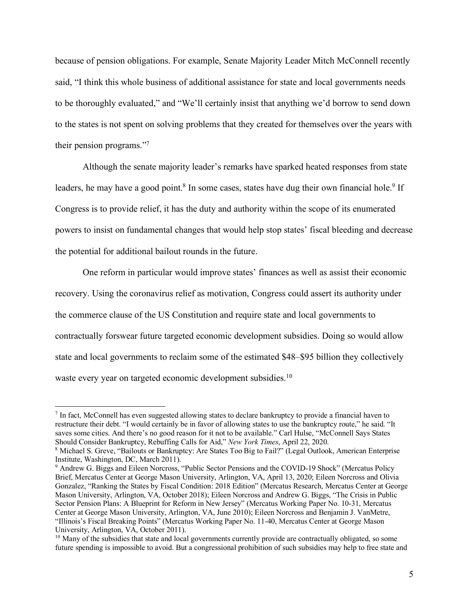because of pension obligations. For example, Senate Majority Leader Mitch McConnell recently said, "I think this whole business of additional assistance for state and local governments needs to be thoroughly evaluated," and "We'll certainly insist that anything we'd borrow to send down to the states is not spent on solving problems that they created for themselves over the years with their pension programs."7

Although the senate majority leader's remarks have sparked heated responses from state leaders, he may have a good point.<sup>8</sup> In some cases, states have dug their own financial hole.<sup>9</sup> If Congress is to provide relief, it has the duty and authority within the scope of its enumerated powers to insist on fundamental changes that would help stop states' fiscal bleeding and decrease the potential for additional bailout rounds in the future.

One reform in particular would improve states' finances as well as assist their economic recovery. Using the coronavirus relief as motivation, Congress could assert its authority under the commerce clause of the US Constitution and require state and local governments to contractually forswear future targeted economic development subsidies. Doing so would allow state and local governments to reclaim some of the estimated \$48–\$95 billion they collectively waste every year on targeted economic development subsidies.<sup>10</sup>

 <sup>7</sup> In fact, McConnell has even suggested allowing states to declare bankruptcy to provide a financial haven to restructure their debt. "I would certainly be in favor of allowing states to use the bankruptcy route," he said. "It saves some cities. And there's no good reason for it not to be available." Carl Hulse, "McConnell Says States Should Consider Bankruptcy, Rebuffing Calls for Aid," *New York Times*, April 22, 2020.

<sup>8</sup> Michael S. Greve, "Bailouts or Bankruptcy: Are States Too Big to Fail?" (Legal Outlook, American Enterprise Institute, Washington, DC, March 2011).

<sup>&</sup>lt;sup>9</sup> Andrew G. Biggs and Eileen Norcross, "Public Sector Pensions and the COVID-19 Shock" (Mercatus Policy Brief, Mercatus Center at George Mason University, Arlington, VA, April 13, 2020; Eileen Norcross and Olivia Gonzalez, "Ranking the States by Fiscal Condition: 2018 Edition" (Mercatus Research, Mercatus Center at George Mason University, Arlington, VA, October 2018); Eileen Norcross and Andrew G. Biggs, "The Crisis in Public Sector Pension Plans: A Blueprint for Reform in New Jersey" (Mercatus Working Paper No. 10-31, Mercatus Center at George Mason University, Arlington, VA, June 2010); Eileen Norcross and Benjamin J. VanMetre, "Illinois's Fiscal Breaking Points" (Mercatus Working Paper No. 11-40, Mercatus Center at George Mason University, Arlington, VA, October 2011).

<sup>&</sup>lt;sup>10</sup> Many of the subsidies that state and local governments currently provide are contractually obligated, so some future spending is impossible to avoid. But a congressional prohibition of such subsidies may help to free state and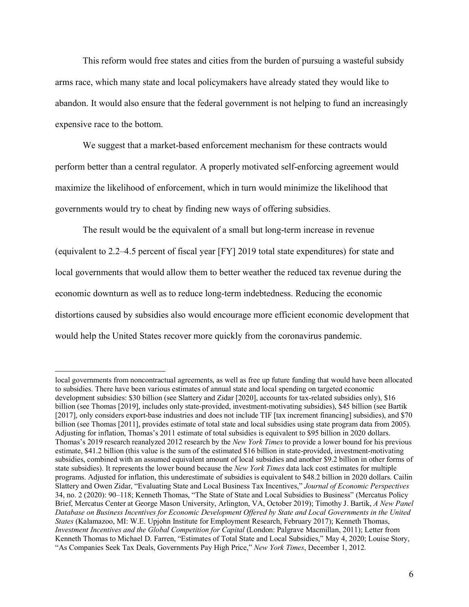This reform would free states and cities from the burden of pursuing a wasteful subsidy arms race, which many state and local policymakers have already stated they would like to abandon. It would also ensure that the federal government is not helping to fund an increasingly expensive race to the bottom.

We suggest that a market-based enforcement mechanism for these contracts would perform better than a central regulator. A properly motivated self-enforcing agreement would maximize the likelihood of enforcement, which in turn would minimize the likelihood that governments would try to cheat by finding new ways of offering subsidies.

The result would be the equivalent of a small but long-term increase in revenue (equivalent to 2.2–4.5 percent of fiscal year [FY] 2019 total state expenditures) for state and local governments that would allow them to better weather the reduced tax revenue during the economic downturn as well as to reduce long-term indebtedness. Reducing the economic distortions caused by subsidies also would encourage more efficient economic development that would help the United States recover more quickly from the coronavirus pandemic.

 $\overline{a}$ 

local governments from noncontractual agreements, as well as free up future funding that would have been allocated to subsidies. There have been various estimates of annual state and local spending on targeted economic development subsidies: \$30 billion (see Slattery and Zidar [2020], accounts for tax-related subsidies only), \$16 billion (see Thomas [2019], includes only state-provided, investment-motivating subsidies), \$45 billion (see Bartik [2017], only considers export-base industries and does not include TIF [tax increment financing] subsidies), and \$70 billion (see Thomas [2011], provides estimate of total state and local subsidies using state program data from 2005). Adjusting for inflation, Thomas's 2011 estimate of total subsidies is equivalent to \$95 billion in 2020 dollars. Thomas's 2019 research reanalyzed 2012 research by the *New York Times* to provide a lower bound for his previous estimate, \$41.2 billion (this value is the sum of the estimated \$16 billion in state-provided, investment-motivating subsidies, combined with an assumed equivalent amount of local subsidies and another \$9.2 billion in other forms of state subsidies). It represents the lower bound because the *New York Times* data lack cost estimates for multiple programs. Adjusted for inflation, this underestimate of subsidies is equivalent to \$48.2 billion in 2020 dollars. Cailin Slattery and Owen Zidar, "Evaluating State and Local Business Tax Incentives," *Journal of Economic Perspectives* 34, no. 2 (2020): 90–118; Kenneth Thomas, "The State of State and Local Subsidies to Business" (Mercatus Policy Brief, Mercatus Center at George Mason University, Arlington, VA, October 2019); Timothy J. Bartik, *A New Panel Database on Business Incentives for Economic Development Offered by State and Local Governments in the United States* (Kalamazoo, MI: W.E. Upjohn Institute for Employment Research, February 2017); Kenneth Thomas, *Investment Incentives and the Global Competition for Capital* (London: Palgrave Macmillan, 2011); Letter from Kenneth Thomas to Michael D. Farren, "Estimates of Total State and Local Subsidies," May 4, 2020; Louise Story, "As Companies Seek Tax Deals, Governments Pay High Price," *New York Times*, December 1, 2012.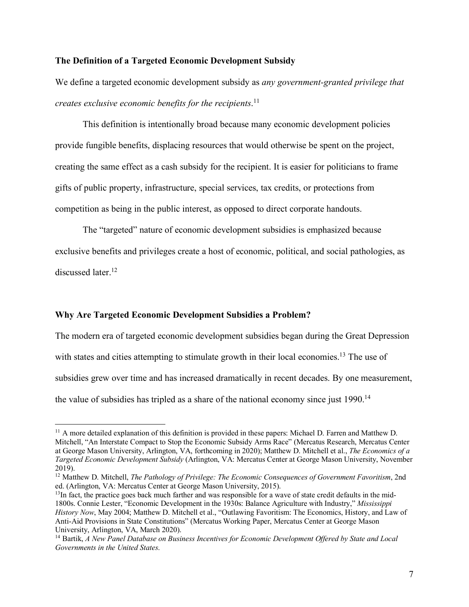### **The Definition of a Targeted Economic Development Subsidy**

We define a targeted economic development subsidy as *any government-granted privilege that creates exclusive economic benefits for the recipients*. 11

This definition is intentionally broad because many economic development policies provide fungible benefits, displacing resources that would otherwise be spent on the project, creating the same effect as a cash subsidy for the recipient. It is easier for politicians to frame gifts of public property, infrastructure, special services, tax credits, or protections from competition as being in the public interest, as opposed to direct corporate handouts.

The "targeted" nature of economic development subsidies is emphasized because exclusive benefits and privileges create a host of economic, political, and social pathologies, as discussed later. 12

#### **Why Are Targeted Economic Development Subsidies a Problem?**

The modern era of targeted economic development subsidies began during the Great Depression with states and cities attempting to stimulate growth in their local economies.<sup>13</sup> The use of subsidies grew over time and has increased dramatically in recent decades. By one measurement, the value of subsidies has tripled as a share of the national economy since just 1990.<sup>14</sup>

<sup>&</sup>lt;sup>11</sup> A more detailed explanation of this definition is provided in these papers: Michael D. Farren and Matthew D. Mitchell, "An Interstate Compact to Stop the Economic Subsidy Arms Race" (Mercatus Research, Mercatus Center at George Mason University, Arlington, VA, forthcoming in 2020); Matthew D. Mitchell et al., *The Economics of a Targeted Economic Development Subsidy* (Arlington, VA: Mercatus Center at George Mason University, November 2019).

<sup>12</sup> Matthew D. Mitchell, *The Pathology of Privilege: The Economic Consequences of Government Favoritism*, 2nd ed. (Arlington, VA: Mercatus Center at George Mason University, 2015).

 $<sup>13</sup>$ In fact, the practice goes back much farther and was responsible for a wave of state credit defaults in the mid-</sup> 1800s. Connie Lester, "Economic Development in the 1930s: Balance Agriculture with Industry," *Mississippi History Now*, May 2004; Matthew D. Mitchell et al., "Outlawing Favoritism: The Economics, History, and Law of Anti-Aid Provisions in State Constitutions" (Mercatus Working Paper, Mercatus Center at George Mason University, Arlington, VA, March 2020).

<sup>14</sup> Bartik, *A New Panel Database on Business Incentives for Economic Development Offered by State and Local Governments in the United States*.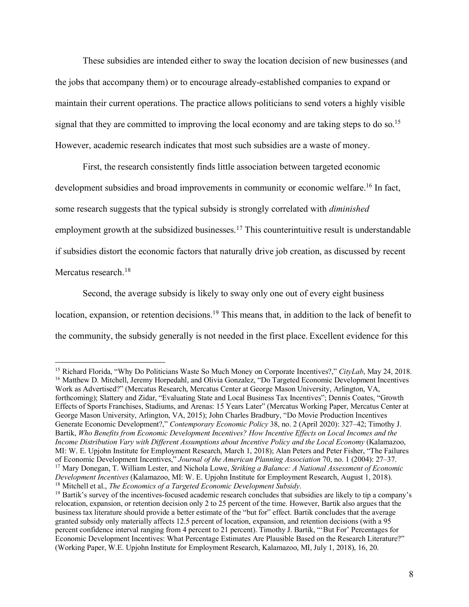These subsidies are intended either to sway the location decision of new businesses (and the jobs that accompany them) or to encourage already-established companies to expand or maintain their current operations. The practice allows politicians to send voters a highly visible signal that they are committed to improving the local economy and are taking steps to do so.<sup>15</sup> However, academic research indicates that most such subsidies are a waste of money.

First, the research consistently finds little association between targeted economic development subsidies and broad improvements in community or economic welfare.<sup>16</sup> In fact, some research suggests that the typical subsidy is strongly correlated with *diminished* employment growth at the subsidized businesses.<sup>17</sup> This counterintuitive result is understandable if subsidies distort the economic factors that naturally drive job creation, as discussed by recent Mercatus research.<sup>18</sup>

Second, the average subsidy is likely to sway only one out of every eight business location, expansion, or retention decisions.<sup>19</sup> This means that, in addition to the lack of benefit to the community, the subsidy generally is not needed in the first place. Excellent evidence for this

 <sup>15</sup> Richard Florida, "Why Do Politicians Waste So Much Money on Corporate Incentives?," *CityLab*, May 24, 2018. <sup>16</sup> Matthew D. Mitchell, Jeremy Horpedahl, and Olivia Gonzalez, "Do Targeted Economic Development Incentives Work as Advertised?" (Mercatus Research, Mercatus Center at George Mason University, Arlington, VA, forthcoming); Slattery and Zidar, "Evaluating State and Local Business Tax Incentives"; Dennis Coates, "Growth Effects of Sports Franchises, Stadiums, and Arenas: 15 Years Later" (Mercatus Working Paper, Mercatus Center at George Mason University, Arlington, VA, 2015); John Charles Bradbury, "Do Movie Production Incentives Generate Economic Development?," *Contemporary Economic Policy* 38, no. 2 (April 2020): 327–42; Timothy J. Bartik, *Who Benefits from Economic Development Incentives? How Incentive Effects on Local Incomes and the Income Distribution Vary with Different Assumptions about Incentive Policy and the Local Economy* (Kalamazoo, MI: W. E. Upjohn Institute for Employment Research, March 1, 2018); Alan Peters and Peter Fisher, "The Failures of Economic Development Incentives," *Journal of the American Planning Association* 70, no. 1 (2004): 27–37. <sup>17</sup> Mary Donegan, T. William Lester, and Nichola Lowe, *Striking a Balance: A National Assessment of Economic Development Incentives* (Kalamazoo, MI: W. E. Upjohn Institute for Employment Research, August 1, 2018).

<sup>18</sup> Mitchell et al., *The Economics of a Targeted Economic Development Subsidy*.

<sup>&</sup>lt;sup>19</sup> Bartik's survey of the incentives-focused academic research concludes that subsidies are likely to tip a company's relocation, expansion, or retention decision only 2 to 25 percent of the time. However, Bartik also argues that the business tax literature should provide a better estimate of the "but for" effect. Bartik concludes that the average granted subsidy only materially affects 12.5 percent of location, expansion, and retention decisions (with a 95 percent confidence interval ranging from 4 percent to 21 percent). Timothy J. Bartik, "'But For' Percentages for Economic Development Incentives: What Percentage Estimates Are Plausible Based on the Research Literature?" (Working Paper, W.E. Upjohn Institute for Employment Research, Kalamazoo, MI, July 1, 2018), 16, 20.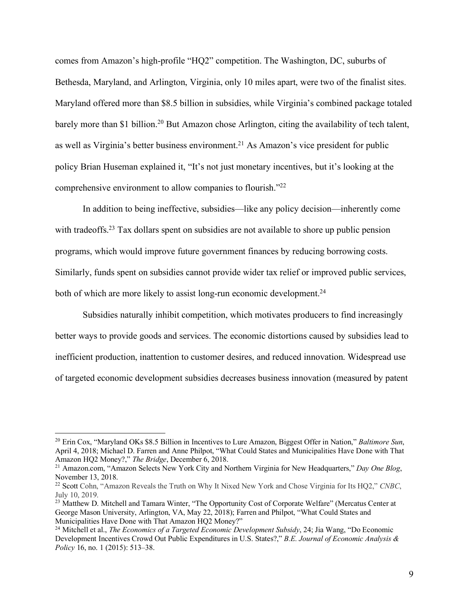comes from Amazon's high-profile "HQ2" competition. The Washington, DC, suburbs of Bethesda, Maryland, and Arlington, Virginia, only 10 miles apart, were two of the finalist sites. Maryland offered more than \$8.5 billion in subsidies, while Virginia's combined package totaled barely more than \$1 billion.<sup>20</sup> But Amazon chose Arlington, citing the availability of tech talent, as well as Virginia's better business environment.<sup>21</sup> As Amazon's vice president for public policy Brian Huseman explained it, "It's not just monetary incentives, but it's looking at the comprehensive environment to allow companies to flourish."22

In addition to being ineffective, subsidies—like any policy decision—inherently come with tradeoffs.<sup>23</sup> Tax dollars spent on subsidies are not available to shore up public pension programs, which would improve future government finances by reducing borrowing costs. Similarly, funds spent on subsidies cannot provide wider tax relief or improved public services, both of which are more likely to assist long-run economic development.<sup>24</sup>

Subsidies naturally inhibit competition, which motivates producers to find increasingly better ways to provide goods and services. The economic distortions caused by subsidies lead to inefficient production, inattention to customer desires, and reduced innovation. Widespread use of targeted economic development subsidies decreases business innovation (measured by patent

 <sup>20</sup> Erin Cox, "Maryland OKs \$8.5 Billion in Incentives to Lure Amazon, Biggest Offer in Nation," *Baltimore Sun*, April 4, 2018; Michael D. Farren and Anne Philpot, "What Could States and Municipalities Have Done with That Amazon HQ2 Money?," *The Bridge*, December 6, 2018.

<sup>21</sup> Amazon.com, "Amazon Selects New York City and Northern Virginia for New Headquarters," *Day One Blog*, November 13, 2018.

<sup>22</sup> Scott Cohn, "Amazon Reveals the Truth on Why It Nixed New York and Chose Virginia for Its HQ2," *CNBC*, July 10, 2019.

<sup>&</sup>lt;sup>23</sup> Matthew D. Mitchell and Tamara Winter, "The Opportunity Cost of Corporate Welfare" (Mercatus Center at George Mason University, Arlington, VA, May 22, 2018); Farren and Philpot, "What Could States and Municipalities Have Done with That Amazon HQ2 Money?"

<sup>24</sup> Mitchell et al., *The Economics of a Targeted Economic Development Subsidy*, 24; Jia Wang, "Do Economic Development Incentives Crowd Out Public Expenditures in U.S. States?," *B.E. Journal of Economic Analysis & Policy* 16, no. 1 (2015): 513–38.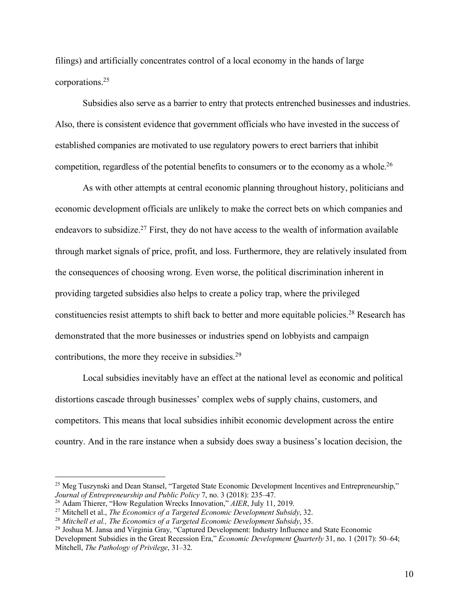filings) and artificially concentrates control of a local economy in the hands of large corporations.25

Subsidies also serve as a barrier to entry that protects entrenched businesses and industries. Also, there is consistent evidence that government officials who have invested in the success of established companies are motivated to use regulatory powers to erect barriers that inhibit competition, regardless of the potential benefits to consumers or to the economy as a whole.<sup>26</sup>

As with other attempts at central economic planning throughout history, politicians and economic development officials are unlikely to make the correct bets on which companies and endeavors to subsidize.<sup>27</sup> First, they do not have access to the wealth of information available through market signals of price, profit, and loss. Furthermore, they are relatively insulated from the consequences of choosing wrong. Even worse, the political discrimination inherent in providing targeted subsidies also helps to create a policy trap, where the privileged constituencies resist attempts to shift back to better and more equitable policies.<sup>28</sup> Research has demonstrated that the more businesses or industries spend on lobbyists and campaign contributions, the more they receive in subsidies.29

Local subsidies inevitably have an effect at the national level as economic and political distortions cascade through businesses' complex webs of supply chains, customers, and competitors. This means that local subsidies inhibit economic development across the entire country. And in the rare instance when a subsidy does sway a business's location decision, the

<sup>&</sup>lt;sup>25</sup> Meg Tuszynski and Dean Stansel, "Targeted State Economic Development Incentives and Entrepreneurship," *Journal of Entrepreneurship and Public Policy* 7, no. 3 (2018): 235–47.

<sup>26</sup> Adam Thierer, "How Regulation Wrecks Innovation," *AIER*, July 11, 2019.

<sup>27</sup> Mitchell et al., *The Economics of a Targeted Economic Development Subsidy*, 32.

<sup>28</sup> *Mitchell et al., The Economics of a Targeted Economic Development Subsidy*, 35. <sup>29</sup> Joshua M. Jansa and Virginia Gray, "Captured Development: Industry Influence and State Economic

Development Subsidies in the Great Recession Era," *Economic Development Quarterly* 31, no. 1 (2017): 50–64; Mitchell, *The Pathology of Privilege*, 31–32.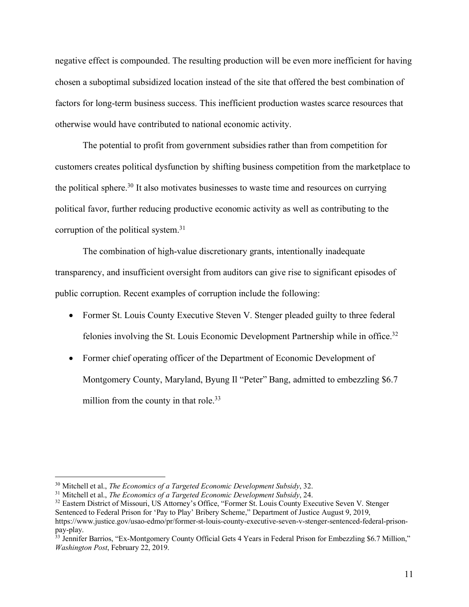negative effect is compounded. The resulting production will be even more inefficient for having chosen a suboptimal subsidized location instead of the site that offered the best combination of factors for long-term business success. This inefficient production wastes scarce resources that otherwise would have contributed to national economic activity.

The potential to profit from government subsidies rather than from competition for customers creates political dysfunction by shifting business competition from the marketplace to the political sphere.<sup>30</sup> It also motivates businesses to waste time and resources on currying political favor, further reducing productive economic activity as well as contributing to the corruption of the political system.<sup>31</sup>

The combination of high-value discretionary grants, intentionally inadequate transparency, and insufficient oversight from auditors can give rise to significant episodes of public corruption. Recent examples of corruption include the following:

- Former St. Louis County Executive Steven V. Stenger pleaded guilty to three federal felonies involving the St. Louis Economic Development Partnership while in office.<sup>32</sup>
- Former chief operating officer of the Department of Economic Development of Montgomery County, Maryland, Byung Il "Peter" Bang, admitted to embezzling \$6.7 million from the county in that role.<sup>33</sup>

 <sup>30</sup> Mitchell et al., *The Economics of a Targeted Economic Development Subsidy*, 32.

<sup>31</sup> Mitchell et al., *The Economics of a Targeted Economic Development Subsidy*, 24.

<sup>&</sup>lt;sup>32</sup> Eastern District of Missouri, US Attorney's Office, "Former St. Louis County Executive Seven V. Stenger

Sentenced to Federal Prison for 'Pay to Play' Bribery Scheme," Department of Justice August 9, 2019,

[https://www.justice.gov/usao-edmo/pr/former-st-louis-county-executive-seven-v-stenger-sentenced-federal-prison](https://www.justice.gov/usao-edmo/pr/former-st-louis-county-executive-seven-v-stenger-sentenced-federal-prison-pay-play)[pay-play.](https://www.justice.gov/usao-edmo/pr/former-st-louis-county-executive-seven-v-stenger-sentenced-federal-prison-pay-play)

<sup>&</sup>lt;sup>33</sup> Jennifer Barrios, "Ex-Montgomery County Official Gets 4 Years in Federal Prison for Embezzling \$6.7 Million," *Washington Post*, February 22, 2019.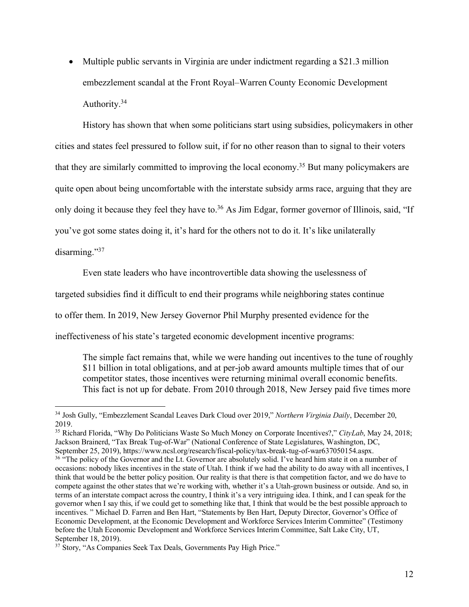• Multiple public servants in Virginia are under indictment regarding a \$21.3 million embezzlement scandal at the Front Royal–Warren County Economic Development Authority. 34

History has shown that when some politicians start using subsidies, policymakers in other cities and states feel pressured to follow suit, if for no other reason than to signal to their voters that they are similarly committed to improving the local economy.35 But many policymakers are quite open about being uncomfortable with the interstate subsidy arms race, arguing that they are only doing it because they feel they have to.<sup>36</sup> As Jim Edgar, former governor of Illinois, said, "If you've got some states doing it, it's hard for the others not to do it. It's like unilaterally disarming."37

Even state leaders who have incontrovertible data showing the uselessness of

targeted subsidies find it difficult to end their programs while neighboring states continue

to offer them. In 2019, New Jersey Governor Phil Murphy presented evidence for the

ineffectiveness of his state's targeted economic development incentive programs:

The simple fact remains that, while we were handing out incentives to the tune of roughly \$11 billion in total obligations, and at per-job award amounts multiple times that of our competitor states, those incentives were returning minimal overall economic benefits. This fact is not up for debate. From 2010 through 2018, New Jersey paid five times more

 <sup>34</sup> Josh Gully, "Embezzlement Scandal Leaves Dark Cloud over 2019," *Northern Virginia Daily*, December 20, 2019.

<sup>35</sup> Richard Florida, "Why Do Politicians Waste So Much Money on Corporate Incentives?," *CityLab*, May 24, 2018; Jackson Brainerd, "Tax Break Tug-of-War" (National Conference of State Legislatures, Washington, DC, September 25, 2019), [https://www.ncsl.org/research/fiscal-policy/tax-break-tug-of-war637050154.aspx.](https://www.ncsl.org/research/fiscal-policy/tax-break-tug-of-war637050154.aspx)

<sup>&</sup>lt;sup>36</sup> "The policy of the Governor and the Lt. Governor are absolutely solid. I've heard him state it on a number of occasions: nobody likes incentives in the state of Utah. I think if we had the ability to do away with all incentives, I think that would be the better policy position. Our reality is that there is that competition factor, and we do have to compete against the other states that we're working with, whether it's a Utah-grown business or outside. And so, in terms of an interstate compact across the country, I think it's a very intriguing idea. I think, and I can speak for the governor when I say this, if we could get to something like that, I think that would be the best possible approach to incentives. " Michael D. Farren and Ben Hart, "Statements by Ben Hart, Deputy Director, Governor's Office of Economic Development, at the Economic Development and Workforce Services Interim Committee" (Testimony before the Utah Economic Development and Workforce Services Interim Committee, Salt Lake City, UT, September 18, 2019).

<sup>&</sup>lt;sup>37</sup> Story, "As Companies Seek Tax Deals, Governments Pay High Price."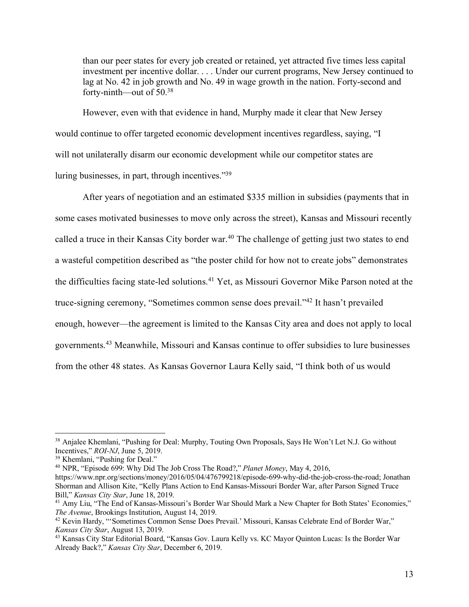than our peer states for every job created or retained, yet attracted five times less capital investment per incentive dollar. . . . Under our current programs, New Jersey continued to lag at No. 42 in job growth and No. 49 in wage growth in the nation. Forty-second and forty-ninth—out of 50. 38

However, even with that evidence in hand, Murphy made it clear that New Jersey would continue to offer targeted economic development incentives regardless, saying, "I will not unilaterally disarm our economic development while our competitor states are luring businesses, in part, through incentives."39

After years of negotiation and an estimated \$335 million in subsidies (payments that in some cases motivated businesses to move only across the street), Kansas and Missouri recently called a truce in their Kansas City border war.<sup>40</sup> The challenge of getting just two states to end a wasteful competition described as "the poster child for how not to create jobs" demonstrates the difficulties facing state-led solutions. <sup>41</sup> Yet, as Missouri Governor Mike Parson noted at the truce-signing ceremony, "Sometimes common sense does prevail."42 It hasn't prevailed enough, however—the agreement is limited to the Kansas City area and does not apply to local governments.43 Meanwhile, Missouri and Kansas continue to offer subsidies to lure businesses from the other 48 states. As Kansas Governor Laura Kelly said, "I think both of us would

<sup>&</sup>lt;sup>38</sup> Anjalee Khemlani, "Pushing for Deal: Murphy, Touting Own Proposals, Says He Won't Let N.J. Go without Incentives," *ROI-NJ*, June 5, 2019.

<sup>39</sup> Khemlani, "Pushing for Deal."

<sup>40</sup> NPR, "Episode 699: Why Did The Job Cross The Road?," *Planet Money*, May 4, 2016, [https://www.npr.org/sections/money/2016/05/04/476799218/episode-699-why-did-the-job-cross-the-road;](https://www.npr.org/sections/money/2016/05/04/476799218/episode-699-why-did-the-job-cross-the-road) Jonathan Shorman and Allison Kite, "Kelly Plans Action to End Kansas-Missouri Border War, after Parson Signed Truce Bill," *Kansas City Star*, June 18, 2019.

<sup>&</sup>lt;sup>41</sup> Amy Liu, "The End of Kansas-Missouri's Border War Should Mark a New Chapter for Both States' Economies," *The Avenue*, Brookings Institution, August 14, 2019.

<sup>42</sup> Kevin Hardy, "'Sometimes Common Sense Does Prevail.' Missouri, Kansas Celebrate End of Border War," *Kansas City Star*, August 13, 2019.

<sup>43</sup> Kansas City Star Editorial Board, "Kansas Gov. Laura Kelly vs. KC Mayor Quinton Lucas: Is the Border War Already Back?," *Kansas City Star*, December 6, 2019.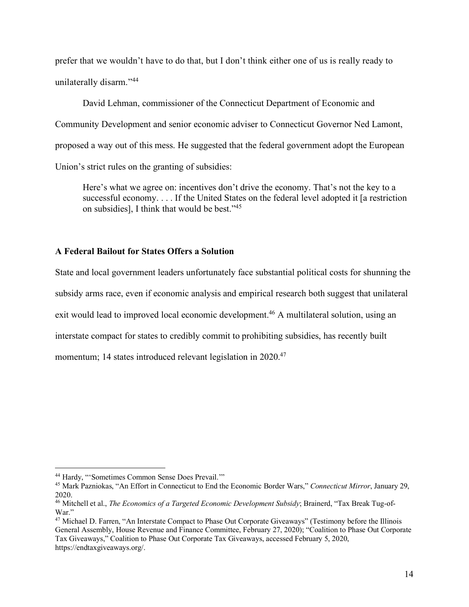prefer that we wouldn't have to do that, but I don't think either one of us is really ready to unilaterally disarm."44

David Lehman, commissioner of the Connecticut Department of Economic and Community Development and senior economic adviser to Connecticut Governor Ned Lamont, proposed a way out of this mess. He suggested that the federal government adopt the European Union's strict rules on the granting of subsidies:

Here's what we agree on: incentives don't drive the economy. That's not the key to a successful economy. . . . If the United States on the federal level adopted it [a restriction on subsidies], I think that would be best."45

# **A Federal Bailout for States Offers a Solution**

State and local government leaders unfortunately face substantial political costs for shunning the subsidy arms race, even if economic analysis and empirical research both suggest that unilateral exit would lead to improved local economic development.<sup>46</sup> A multilateral solution, using an interstate compact for states to credibly commit to prohibiting subsidies, has recently built momentum; 14 states introduced relevant legislation in 2020.<sup>47</sup>

 <sup>44</sup> Hardy, "'Sometimes Common Sense Does Prevail.'"

<sup>45</sup> Mark Pazniokas, "An Effort in Connecticut to End the Economic Border Wars," *Connecticut Mirror*, January 29, 2020.

<sup>46</sup> Mitchell et al., *The Economics of a Targeted Economic Development Subsidy*; Brainerd, "Tax Break Tug-of-War."

<sup>&</sup>lt;sup>47</sup> Michael D. Farren, "An Interstate Compact to Phase Out Corporate Giveaways" (Testimony before the Illinois General Assembly, House Revenue and Finance Committee, February 27, 2020); "Coalition to Phase Out Corporate Tax Giveaways," Coalition to Phase Out Corporate Tax Giveaways, accessed February 5, 2020, [https://endtaxgiveaways.org/.](https://endtaxgiveaways.org/)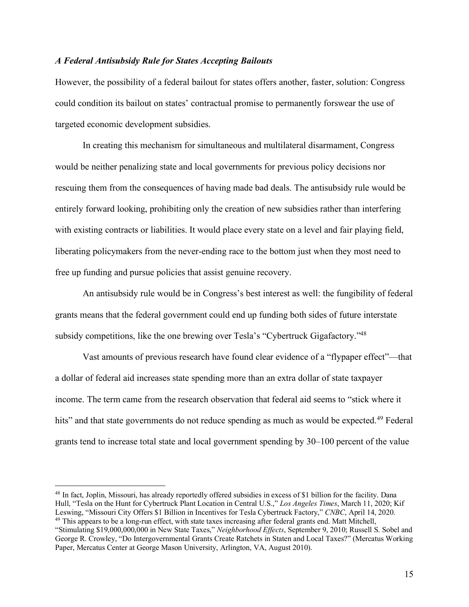# *A Federal Antisubsidy Rule for States Accepting Bailouts*

However, the possibility of a federal bailout for states offers another, faster, solution: Congress could condition its bailout on states' contractual promise to permanently forswear the use of targeted economic development subsidies.

In creating this mechanism for simultaneous and multilateral disarmament, Congress would be neither penalizing state and local governments for previous policy decisions nor rescuing them from the consequences of having made bad deals. The antisubsidy rule would be entirely forward looking, prohibiting only the creation of new subsidies rather than interfering with existing contracts or liabilities. It would place every state on a level and fair playing field, liberating policymakers from the never-ending race to the bottom just when they most need to free up funding and pursue policies that assist genuine recovery.

An antisubsidy rule would be in Congress's best interest as well: the fungibility of federal grants means that the federal government could end up funding both sides of future interstate subsidy competitions, like the one brewing over Tesla's "Cybertruck Gigafactory."48

Vast amounts of previous research have found clear evidence of a "flypaper effect"—that a dollar of federal aid increases state spending more than an extra dollar of state taxpayer income. The term came from the research observation that federal aid seems to "stick where it hits" and that state governments do not reduce spending as much as would be expected.<sup>49</sup> Federal grants tend to increase total state and local government spending by 30–100 percent of the value

<sup>&</sup>lt;sup>48</sup> In fact, Joplin, Missouri, has already reportedly offered subsidies in excess of \$1 billion for the facility. Dana Hull, "Tesla on the Hunt for Cybertruck Plant Location in Central U.S.," *Los Angeles Times*, March 11, 2020; Kif Leswing, "Missouri City Offers \$1 Billion in Incentives for Tesla Cybertruck Factory," *CNBC*, April 14, 2020. <sup>49</sup> This appears to be a long-run effect, with state taxes increasing after federal grants end. Matt Mitchell,

<sup>&</sup>quot;Stimulating \$19,000,000,000 in New State Taxes," *Neighborhood Effects*, September 9, 2010; Russell S. Sobel and George R. Crowley, "Do Intergovernmental Grants Create Ratchets in Staten and Local Taxes?" (Mercatus Working Paper, Mercatus Center at George Mason University, Arlington, VA, August 2010).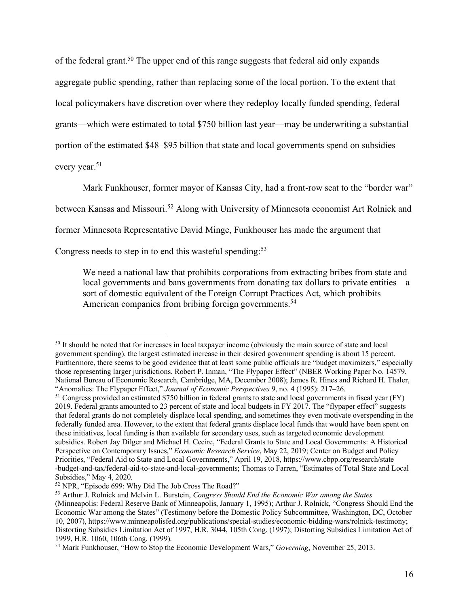of the federal grant. <sup>50</sup> The upper end of this range suggests that federal aid only expands aggregate public spending, rather than replacing some of the local portion. To the extent that local policymakers have discretion over where they redeploy locally funded spending, federal grants—which were estimated to total \$750 billion last year—may be underwriting a substantial portion of the estimated \$48–\$95 billion that state and local governments spend on subsidies

every year.<sup>51</sup>

Mark Funkhouser, former mayor of Kansas City, had a front-row seat to the "border war"

between Kansas and Missouri. <sup>52</sup> Along with University of Minnesota economist Art Rolnick and

former Minnesota Representative David Minge, Funkhouser has made the argument that

Congress needs to step in to end this wasteful spending:<sup>53</sup>

We need a national law that prohibits corporations from extracting bribes from state and local governments and bans governments from donating tax dollars to private entities—a sort of domestic equivalent of the Foreign Corrupt Practices Act, which prohibits American companies from bribing foreign governments.<sup>54</sup>

<sup>&</sup>lt;sup>50</sup> It should be noted that for increases in local taxpayer income (obviously the main source of state and local government spending), the largest estimated increase in their desired government spending is about 15 percent. Furthermore, there seems to be good evidence that at least some public officials are "budget maximizers," especially those representing larger jurisdictions. Robert P. Inman, "The Flypaper Effect" (NBER Working Paper No. 14579, National Bureau of Economic Research, Cambridge, MA, December 2008); James R. Hines and Richard H. Thaler, "Anomalies: The Flypaper Effect," *Journal of Economic Perspectives* 9, no. 4 (1995): 217–26.

<sup>51</sup> Congress provided an estimated \$750 billion in federal grants to state and local governments in fiscal year (FY) 2019. Federal grants amounted to 23 percent of state and local budgets in FY 2017. The "flypaper effect" suggests that federal grants do not completely displace local spending, and sometimes they even motivate overspending in the federally funded area. However, to the extent that federal grants displace local funds that would have been spent on these initiatives, local funding is then available for secondary uses, such as targeted economic development subsidies. Robert Jay Dilger and Michael H. Cecire, "Federal Grants to State and Local Governments: A Historical Perspective on Contemporary Issues," *Economic Research Service*, May 22, 2019; Center on Budget and Policy Priorities, "Federal Aid to State and Local Governments," April 19, 2018, [https://www.cbpp.org/research/state](https://www.cbpp.org/research/state-budget-and-tax/federal-aid-to-state-and-local-governments) [-budget-and-tax/federal-aid-to-state-and-local-governments;](https://www.cbpp.org/research/state-budget-and-tax/federal-aid-to-state-and-local-governments) Thomas to Farren, "Estimates of Total State and Local Subsidies," May 4, 2020.

<sup>52</sup> NPR, "Episode 699: Why Did The Job Cross The Road?"

<sup>53</sup> Arthur J. Rolnick and Melvin L. Burstein, *Congress Should End the Economic War among the States* (Minneapolis: Federal Reserve Bank of Minneapolis, January 1, 1995); Arthur J. Rolnick, "Congress Should End the Economic War among the States" (Testimony before the Domestic Policy Subcommittee, Washington, DC, October 10, 2007), [https://www.minneapolisfed.org/publications/special-studies/economic-bidding-wars/rolnick-testimony;](https://www.minneapolisfed.org/publications/special-studies/economic-bidding-wars/rolnick-testimony) Distorting Subsidies Limitation Act of 1997, H.R. 3044, 105th Cong. (1997); Distorting Subsidies Limitation Act of 1999, H.R. 1060, 106th Cong. (1999).

<sup>54</sup> Mark Funkhouser, "How to Stop the Economic Development Wars," *Governing*, November 25, 2013.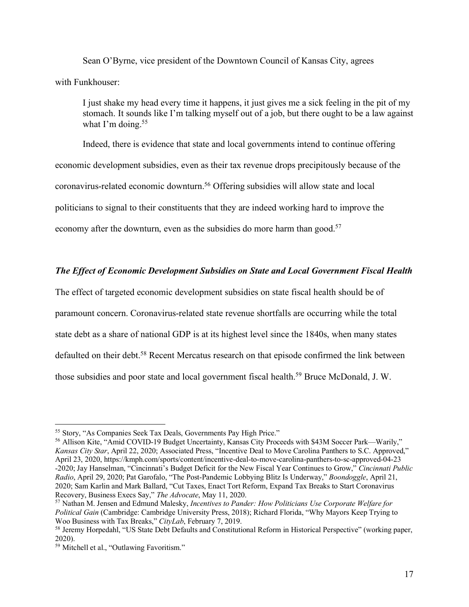Sean O'Byrne, vice president of the Downtown Council of Kansas City, agrees with Funkhouser:

I just shake my head every time it happens, it just gives me a sick feeling in the pit of my stomach. It sounds like I'm talking myself out of a job, but there ought to be a law against what I'm doing.<sup>55</sup>

Indeed, there is evidence that state and local governments intend to continue offering economic development subsidies, even as their tax revenue drops precipitously because of the coronavirus-related economic downturn.56 Offering subsidies will allow state and local politicians to signal to their constituents that they are indeed working hard to improve the economy after the downturn, even as the subsidies do more harm than good.<sup>57</sup>

# *The Effect of Economic Development Subsidies on State and Local Government Fiscal Health*

The effect of targeted economic development subsidies on state fiscal health should be of

paramount concern. Coronavirus-related state revenue shortfalls are occurring while the total

state debt as a share of national GDP is at its highest level since the 1840s, when many states

defaulted on their debt.<sup>58</sup> Recent Mercatus research on that episode confirmed the link between

those subsidies and poor state and local government fiscal health.<sup>59</sup> Bruce McDonald, J. W.

<sup>56</sup> Allison Kite, "Amid COVID-19 Budget Uncertainty, Kansas City Proceeds with \$43M Soccer Park—Warily," *Kansas City Star*, April 22, 2020; Associated Press, "Incentive Deal to Move Carolina Panthers to S.C. Approved," April 23, 2020, [https://kmph.com/sports/content/incentive-deal-to-move-carolina-panthers-to-sc-approved-04-23](https://kmph.com/sports/content/incentive-deal-to-move-carolina-panthers-to-sc-approved-04-23-2020) [-2020;](https://kmph.com/sports/content/incentive-deal-to-move-carolina-panthers-to-sc-approved-04-23-2020) Jay Hanselman, "Cincinnati's Budget Deficit for the New Fiscal Year Continues to Grow," *Cincinnati Public Radio*, April 29, 2020; Pat Garofalo, "The Post-Pandemic Lobbying Blitz Is Underway," *Boondoggle*, April 21, 2020; Sam Karlin and Mark Ballard, "Cut Taxes, Enact Tort Reform, Expand Tax Breaks to Start Coronavirus Recovery, Business Execs Say," *The Advocate*, May 11, 2020.

 <sup>55</sup> Story, "As Companies Seek Tax Deals, Governments Pay High Price."

<sup>57</sup> Nathan M. Jensen and Edmund Malesky, *Incentives to Pander: How Politicians Use Corporate Welfare for Political Gain* (Cambridge: Cambridge University Press, 2018); Richard Florida, "Why Mayors Keep Trying to Woo Business with Tax Breaks," *CityLab*, February 7, 2019.

<sup>58</sup> Jeremy Horpedahl, "US State Debt Defaults and Constitutional Reform in Historical Perspective" (working paper, 2020).

<sup>59</sup> Mitchell et al., "Outlawing Favoritism."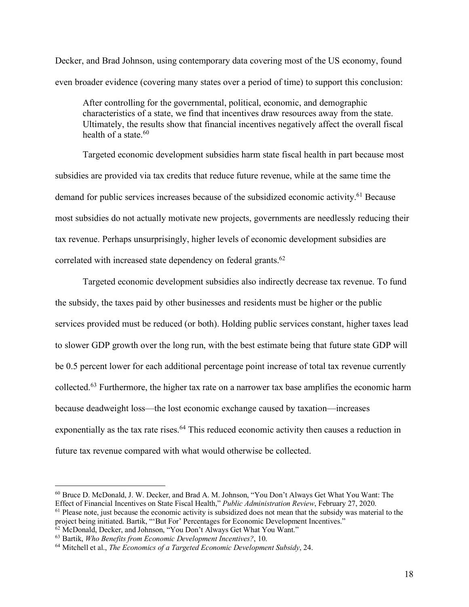Decker, and Brad Johnson, using contemporary data covering most of the US economy, found even broader evidence (covering many states over a period of time) to support this conclusion:

After controlling for the governmental, political, economic, and demographic characteristics of a state, we find that incentives draw resources away from the state. Ultimately, the results show that financial incentives negatively affect the overall fiscal health of a state.<sup>60</sup>

Targeted economic development subsidies harm state fiscal health in part because most subsidies are provided via tax credits that reduce future revenue, while at the same time the demand for public services increases because of the subsidized economic activity. <sup>61</sup> Because most subsidies do not actually motivate new projects, governments are needlessly reducing their tax revenue. Perhaps unsurprisingly, higher levels of economic development subsidies are correlated with increased state dependency on federal grants.<sup>62</sup>

Targeted economic development subsidies also indirectly decrease tax revenue. To fund the subsidy, the taxes paid by other businesses and residents must be higher or the public services provided must be reduced (or both). Holding public services constant, higher taxes lead to slower GDP growth over the long run, with the best estimate being that future state GDP will be 0.5 percent lower for each additional percentage point increase of total tax revenue currently collected.63 Furthermore, the higher tax rate on a narrower tax base amplifies the economic harm because deadweight loss—the lost economic exchange caused by taxation—increases exponentially as the tax rate rises.<sup>64</sup> This reduced economic activity then causes a reduction in future tax revenue compared with what would otherwise be collected.

 <sup>60</sup> Bruce D. McDonald, J. W. Decker, and Brad A. M. Johnson, "You Don't Always Get What You Want: The Effect of Financial Incentives on State Fiscal Health," *Public Administration Review*, February 27, 2020.

 $<sup>61</sup>$  Please note, just because the economic activity is subsidized does not mean that the subsidy was material to the</sup> project being initiated. Bartik, "'But For' Percentages for Economic Development Incentives."

<sup>&</sup>lt;sup>62</sup> McDonald, Decker, and Johnson, "You Don't Always Get What You Want."

<sup>63</sup> Bartik, *Who Benefits from Economic Development Incentives?*, 10.

<sup>64</sup> Mitchell et al., *The Economics of a Targeted Economic Development Subsidy*, 24.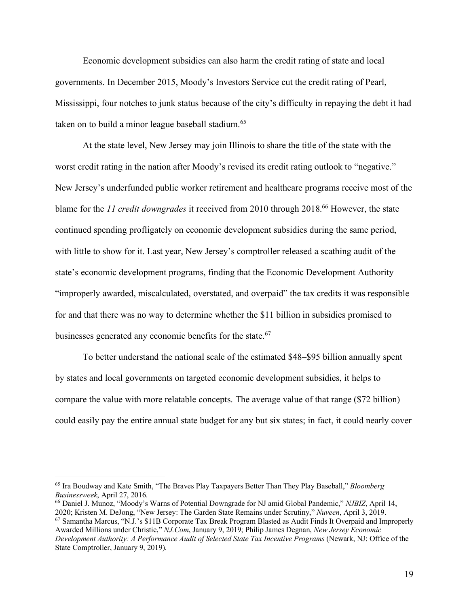Economic development subsidies can also harm the credit rating of state and local governments. In December 2015, Moody's Investors Service cut the credit rating of Pearl, Mississippi, four notches to junk status because of the city's difficulty in repaying the debt it had taken on to build a minor league baseball stadium.<sup>65</sup>

At the state level, New Jersey may join Illinois to share the title of the state with the worst credit rating in the nation after Moody's revised its credit rating outlook to "negative." New Jersey's underfunded public worker retirement and healthcare programs receive most of the blame for the *11 credit downgrades* it received from 2010 through 2018. <sup>66</sup> However, the state continued spending profligately on economic development subsidies during the same period, with little to show for it. Last year, New Jersey's comptroller released a scathing audit of the state's economic development programs, finding that the Economic Development Authority "improperly awarded, miscalculated, overstated, and overpaid" the tax credits it was responsible for and that there was no way to determine whether the \$11 billion in subsidies promised to businesses generated any economic benefits for the state.<sup>67</sup>

To better understand the national scale of the estimated \$48–\$95 billion annually spent by states and local governments on targeted economic development subsidies, it helps to compare the value with more relatable concepts. The average value of that range (\$72 billion) could easily pay the entire annual state budget for any but six states; in fact, it could nearly cover

 <sup>65</sup> Ira Boudway and Kate Smith, "The Braves Play Taxpayers Better Than They Play Baseball," *Bloomberg Businessweek*, April 27, 2016.

<sup>66</sup> Daniel J. Munoz, "Moody's Warns of Potential Downgrade for NJ amid Global Pandemic," *NJBIZ*, April 14, 2020; Kristen M. DeJong, "New Jersey: The Garden State Remains under Scrutiny," *Nuveen*, April 3, 2019.

<sup>67</sup> Samantha Marcus, "N.J.'s \$11B Corporate Tax Break Program Blasted as Audit Finds It Overpaid and Improperly Awarded Millions under Christie," *NJ.Com*, January 9, 2019; Philip James Degnan, *New Jersey Economic Development Authority: A Performance Audit of Selected State Tax Incentive Programs* (Newark, NJ: Office of the State Comptroller, January 9, 2019).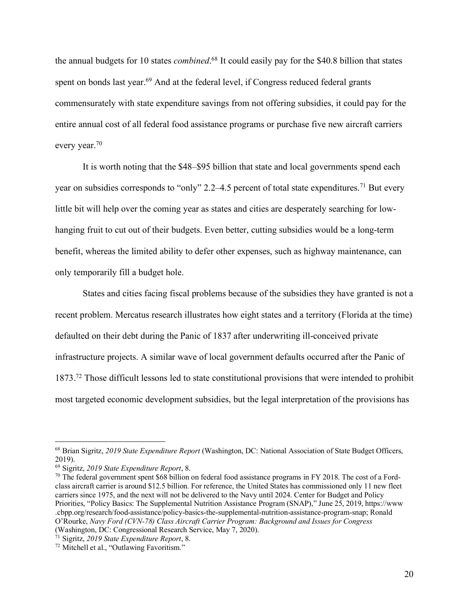the annual budgets for 10 states *combined*. <sup>68</sup> It could easily pay for the \$40.8 billion that states spent on bonds last year.<sup>69</sup> And at the federal level, if Congress reduced federal grants commensurately with state expenditure savings from not offering subsidies, it could pay for the entire annual cost of all federal food assistance programs or purchase five new aircraft carriers every year.<sup>70</sup>

It is worth noting that the \$48–\$95 billion that state and local governments spend each year on subsidies corresponds to "only" 2.2–4.5 percent of total state expenditures.<sup>71</sup> But every little bit will help over the coming year as states and cities are desperately searching for lowhanging fruit to cut out of their budgets. Even better, cutting subsidies would be a long-term benefit, whereas the limited ability to defer other expenses, such as highway maintenance, can only temporarily fill a budget hole.

States and cities facing fiscal problems because of the subsidies they have granted is not a recent problem. Mercatus research illustrates how eight states and a territory (Florida at the time) defaulted on their debt during the Panic of 1837 after underwriting ill-conceived private infrastructure projects. A similar wave of local government defaults occurred after the Panic of 1873. <sup>72</sup> Those difficult lessons led to state constitutional provisions that were intended to prohibit most targeted economic development subsidies, but the legal interpretation of the provisions has

 <sup>68</sup> Brian Sigritz, *2019 State Expenditure Report* (Washington, DC: National Association of State Budget Officers, 2019).

<sup>69</sup> Sigritz, *2019 State Expenditure Report*, 8.

<sup>&</sup>lt;sup>70</sup> The federal government spent \$68 billion on federal food assistance programs in FY 2018. The cost of a Fordclass aircraft carrier is around \$12.5 billion. For reference, the United States has commissioned only 11 new fleet carriers since 1975, and the next will not be delivered to the Navy until 2024. Center for Budget and Policy Priorities, "Policy Basics: The Supplemental Nutrition Assistance Program (SNAP)," June 25, 2019, [https://www](https://www.cbpp.org/research/food-assistance/policy-basics-the-supplemental-nutrition-assistance-program-snap) [.cbpp.org/research/food-assistance/policy-basics-the-supplemental-nutrition-assistance-program-snap;](https://www.cbpp.org/research/food-assistance/policy-basics-the-supplemental-nutrition-assistance-program-snap) Ronald O'Rourke, *Navy Ford (CVN-78) Class Aircraft Carrier Program: Background and Issues for Congress* (Washington, DC: Congressional Research Service, May 7, 2020).

<sup>71</sup> Sigritz, *2019 State Expenditure Report*, 8.

<sup>72</sup> Mitchell et al., "Outlawing Favoritism."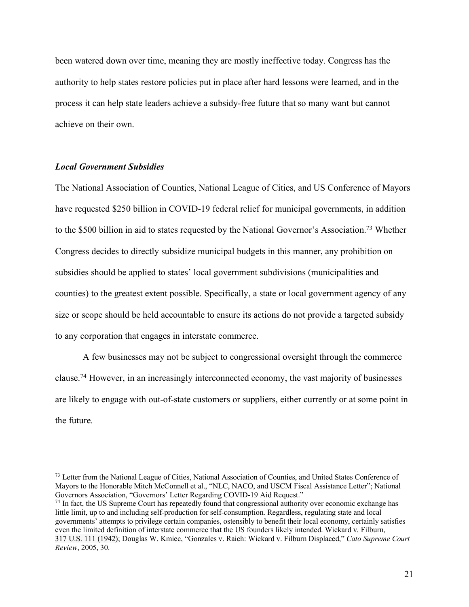been watered down over time, meaning they are mostly ineffective today. Congress has the authority to help states restore policies put in place after hard lessons were learned, and in the process it can help state leaders achieve a subsidy-free future that so many want but cannot achieve on their own.

## *Local Government Subsidies*

The National Association of Counties, National League of Cities, and US Conference of Mayors have requested \$250 billion in COVID-19 federal relief for municipal governments, in addition to the \$500 billion in aid to states requested by the National Governor's Association.<sup>73</sup> Whether Congress decides to directly subsidize municipal budgets in this manner, any prohibition on subsidies should be applied to states' local government subdivisions (municipalities and counties) to the greatest extent possible. Specifically, a state or local government agency of any size or scope should be held accountable to ensure its actions do not provide a targeted subsidy to any corporation that engages in interstate commerce.

A few businesses may not be subject to congressional oversight through the commerce clause.<sup>74</sup> However, in an increasingly interconnected economy, the vast majority of businesses are likely to engage with out-of-state customers or suppliers, either currently or at some point in the future.

<sup>&</sup>lt;sup>73</sup> Letter from the National League of Cities, National Association of Counties, and United States Conference of Mayors to the Honorable Mitch McConnell et al., "NLC, NACO, and USCM Fiscal Assistance Letter"; National Governors Association, "Governors' Letter Regarding COVID-19 Aid Request."

<sup>74</sup> In fact, the US Supreme Court has repeatedly found that congressional authority over economic exchange has little limit, up to and including self-production for self-consumption. Regardless, regulating state and local governments' attempts to privilege certain companies, ostensibly to benefit their local economy, certainly satisfies even the limited definition of interstate commerce that the US founders likely intended. Wickard v. Filburn, 317 U.S. 111 (1942); Douglas W. Kmiec, "Gonzales v. Raich: Wickard v. Filburn Displaced," *Cato Supreme Court Review*, 2005, 30.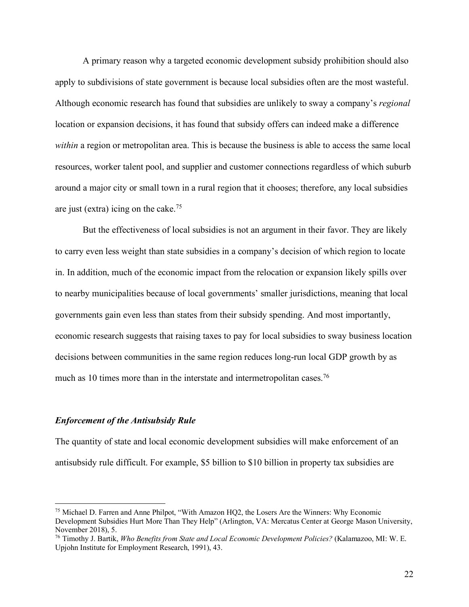A primary reason why a targeted economic development subsidy prohibition should also apply to subdivisions of state government is because local subsidies often are the most wasteful. Although economic research has found that subsidies are unlikely to sway a company's *regional* location or expansion decisions, it has found that subsidy offers can indeed make a difference *within* a region or metropolitan area. This is because the business is able to access the same local resources, worker talent pool, and supplier and customer connections regardless of which suburb around a major city or small town in a rural region that it chooses; therefore, any local subsidies are just (extra) icing on the cake.75

But the effectiveness of local subsidies is not an argument in their favor. They are likely to carry even less weight than state subsidies in a company's decision of which region to locate in. In addition, much of the economic impact from the relocation or expansion likely spills over to nearby municipalities because of local governments' smaller jurisdictions, meaning that local governments gain even less than states from their subsidy spending. And most importantly, economic research suggests that raising taxes to pay for local subsidies to sway business location decisions between communities in the same region reduces long-run local GDP growth by as much as 10 times more than in the interstate and intermetropolitan cases.<sup>76</sup>

#### *Enforcement of the Antisubsidy Rule*

The quantity of state and local economic development subsidies will make enforcement of an antisubsidy rule difficult. For example, \$5 billion to \$10 billion in property tax subsidies are

 <sup>75</sup> Michael D. Farren and Anne Philpot, "With Amazon HQ2, the Losers Are the Winners: Why Economic Development Subsidies Hurt More Than They Help" (Arlington, VA: Mercatus Center at George Mason University, November 2018), 5.

<sup>76</sup> Timothy J. Bartik, *Who Benefits from State and Local Economic Development Policies?* (Kalamazoo, MI: W. E. Upjohn Institute for Employment Research, 1991), 43.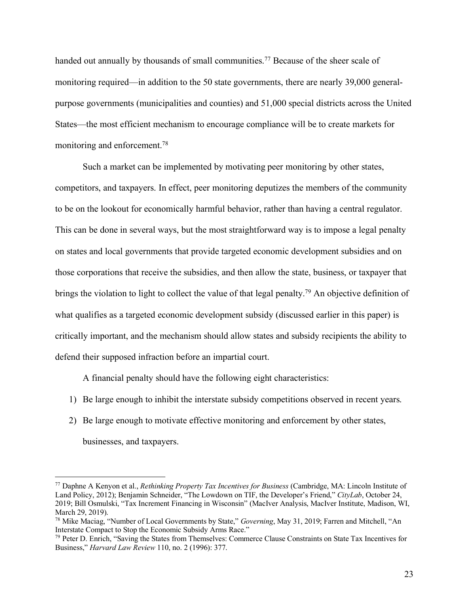handed out annually by thousands of small communities.<sup>77</sup> Because of the sheer scale of monitoring required—in addition to the 50 state governments, there are nearly 39,000 generalpurpose governments (municipalities and counties) and 51,000 special districts across the United States—the most efficient mechanism to encourage compliance will be to create markets for monitoring and enforcement. 78

Such a market can be implemented by motivating peer monitoring by other states, competitors, and taxpayers. In effect, peer monitoring deputizes the members of the community to be on the lookout for economically harmful behavior, rather than having a central regulator. This can be done in several ways, but the most straightforward way is to impose a legal penalty on states and local governments that provide targeted economic development subsidies and on those corporations that receive the subsidies, and then allow the state, business, or taxpayer that brings the violation to light to collect the value of that legal penalty.<sup>79</sup> An objective definition of what qualifies as a targeted economic development subsidy (discussed earlier in this paper) is critically important, and the mechanism should allow states and subsidy recipients the ability to defend their supposed infraction before an impartial court.

A financial penalty should have the following eight characteristics:

- 1) Be large enough to inhibit the interstate subsidy competitions observed in recent years.
- 2) Be large enough to motivate effective monitoring and enforcement by other states, businesses, and taxpayers.

 <sup>77</sup> Daphne A Kenyon et al., *Rethinking Property Tax Incentives for Business* (Cambridge, MA: Lincoln Institute of Land Policy, 2012); Benjamin Schneider, "The Lowdown on TIF, the Developer's Friend," *CityLab*, October 24, 2019; Bill Osmulski, "Tax Increment Financing in Wisconsin" (MacIver Analysis, MacIver Institute, Madison, WI, March 29, 2019).

<sup>78</sup> Mike Maciag, "Number of Local Governments by State," *Governing*, May 31, 2019; Farren and Mitchell, "An Interstate Compact to Stop the Economic Subsidy Arms Race."

<sup>79</sup> Peter D. Enrich, "Saving the States from Themselves: Commerce Clause Constraints on State Tax Incentives for Business," *Harvard Law Review* 110, no. 2 (1996): 377.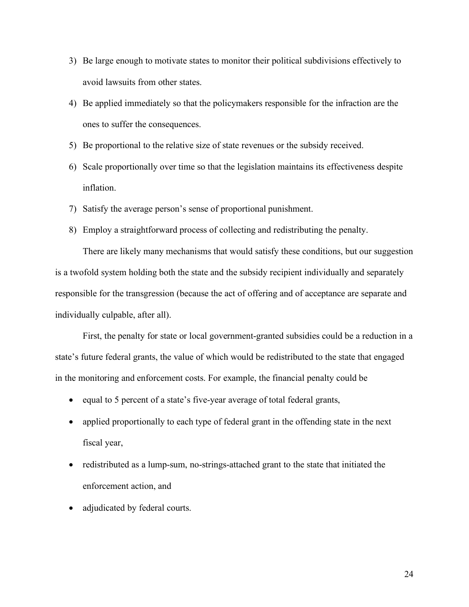- 3) Be large enough to motivate states to monitor their political subdivisions effectively to avoid lawsuits from other states.
- 4) Be applied immediately so that the policymakers responsible for the infraction are the ones to suffer the consequences.
- 5) Be proportional to the relative size of state revenues or the subsidy received.
- 6) Scale proportionally over time so that the legislation maintains its effectiveness despite inflation.
- 7) Satisfy the average person's sense of proportional punishment.
- 8) Employ a straightforward process of collecting and redistributing the penalty.

There are likely many mechanisms that would satisfy these conditions, but our suggestion is a twofold system holding both the state and the subsidy recipient individually and separately responsible for the transgression (because the act of offering and of acceptance are separate and individually culpable, after all).

First, the penalty for state or local government-granted subsidies could be a reduction in a state's future federal grants, the value of which would be redistributed to the state that engaged in the monitoring and enforcement costs. For example, the financial penalty could be

- equal to 5 percent of a state's five-year average of total federal grants,
- applied proportionally to each type of federal grant in the offending state in the next fiscal year,
- redistributed as a lump-sum, no-strings-attached grant to the state that initiated the enforcement action, and
- adjudicated by federal courts.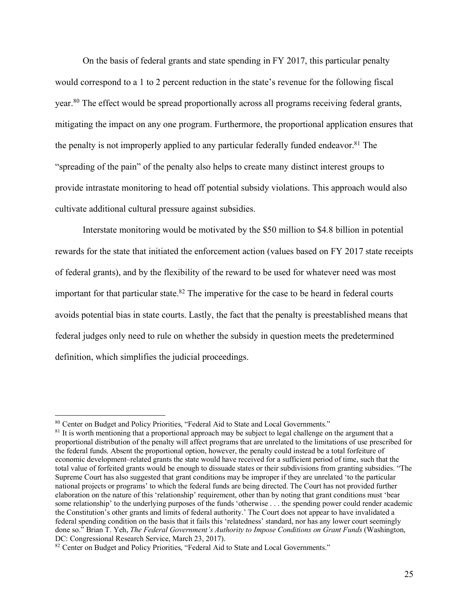On the basis of federal grants and state spending in FY 2017, this particular penalty would correspond to a 1 to 2 percent reduction in the state's revenue for the following fiscal year.<sup>80</sup> The effect would be spread proportionally across all programs receiving federal grants, mitigating the impact on any one program. Furthermore, the proportional application ensures that the penalty is not improperly applied to any particular federally funded endeavor.<sup>81</sup> The "spreading of the pain" of the penalty also helps to create many distinct interest groups to provide intrastate monitoring to head off potential subsidy violations. This approach would also cultivate additional cultural pressure against subsidies.

Interstate monitoring would be motivated by the \$50 million to \$4.8 billion in potential rewards for the state that initiated the enforcement action (values based on FY 2017 state receipts of federal grants), and by the flexibility of the reward to be used for whatever need was most important for that particular state.<sup>82</sup> The imperative for the case to be heard in federal courts avoids potential bias in state courts. Lastly, the fact that the penalty is preestablished means that federal judges only need to rule on whether the subsidy in question meets the predetermined definition, which simplifies the judicial proceedings.

 <sup>80</sup> Center on Budget and Policy Priorities, "Federal Aid to State and Local Governments."

 $81$  It is worth mentioning that a proportional approach may be subject to legal challenge on the argument that a proportional distribution of the penalty will affect programs that are unrelated to the limitations of use prescribed for the federal funds. Absent the proportional option, however, the penalty could instead be a total forfeiture of economic development–related grants the state would have received for a sufficient period of time, such that the total value of forfeited grants would be enough to dissuade states or their subdivisions from granting subsidies. "The Supreme Court has also suggested that grant conditions may be improper if they are unrelated 'to the particular national projects or programs' to which the federal funds are being directed. The Court has not provided further elaboration on the nature of this 'relationship' requirement, other than by noting that grant conditions must 'bear some relationship' to the underlying purposes of the funds 'otherwise . . . the spending power could render academic the Constitution's other grants and limits of federal authority.' The Court does not appear to have invalidated a federal spending condition on the basis that it fails this 'relatedness' standard, nor has any lower court seemingly done so." Brian T. Yeh, *The Federal Government's Authority to Impose Conditions on Grant Funds* (Washington, DC: Congressional Research Service, March 23, 2017).

<sup>82</sup> Center on Budget and Policy Priorities, "Federal Aid to State and Local Governments."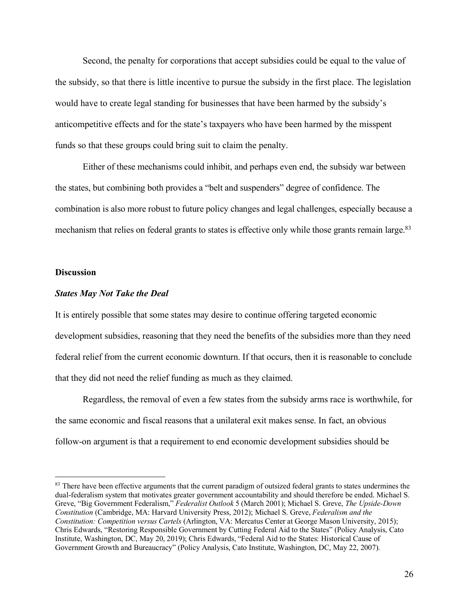Second, the penalty for corporations that accept subsidies could be equal to the value of the subsidy, so that there is little incentive to pursue the subsidy in the first place. The legislation would have to create legal standing for businesses that have been harmed by the subsidy's anticompetitive effects and for the state's taxpayers who have been harmed by the misspent funds so that these groups could bring suit to claim the penalty.

Either of these mechanisms could inhibit, and perhaps even end, the subsidy war between the states, but combining both provides a "belt and suspenders" degree of confidence. The combination is also more robust to future policy changes and legal challenges, especially because a mechanism that relies on federal grants to states is effective only while those grants remain large.<sup>83</sup>

#### **Discussion**

#### *States May Not Take the Deal*

It is entirely possible that some states may desire to continue offering targeted economic development subsidies, reasoning that they need the benefits of the subsidies more than they need federal relief from the current economic downturn. If that occurs, then it is reasonable to conclude that they did not need the relief funding as much as they claimed.

Regardless, the removal of even a few states from the subsidy arms race is worthwhile, for the same economic and fiscal reasons that a unilateral exit makes sense. In fact, an obvious follow-on argument is that a requirement to end economic development subsidies should be

<sup>&</sup>lt;sup>83</sup> There have been effective arguments that the current paradigm of outsized federal grants to states undermines the dual-federalism system that motivates greater government accountability and should therefore be ended. Michael S. Greve, "Big Government Federalism," *Federalist Outlook* 5 (March 2001); Michael S. Greve, *The Upside-Down Constitution* (Cambridge, MA: Harvard University Press, 2012); Michael S. Greve, *Federalism and the Constitution: Competition versus Cartels* (Arlington, VA: Mercatus Center at George Mason University, 2015); Chris Edwards, "Restoring Responsible Government by Cutting Federal Aid to the States" (Policy Analysis, Cato Institute, Washington, DC, May 20, 2019); Chris Edwards, "Federal Aid to the States: Historical Cause of Government Growth and Bureaucracy" (Policy Analysis, Cato Institute, Washington, DC, May 22, 2007).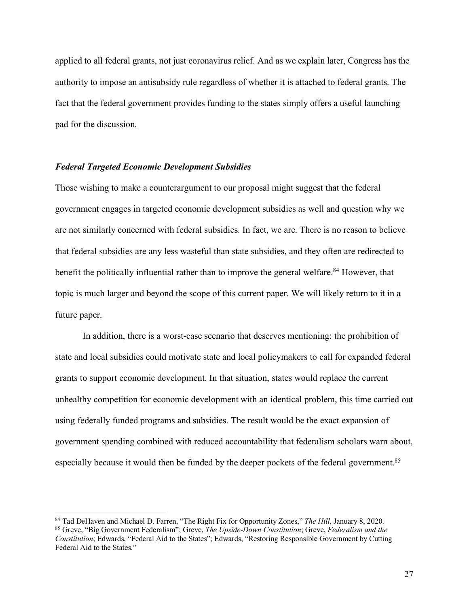applied to all federal grants, not just coronavirus relief. And as we explain later, Congress has the authority to impose an antisubsidy rule regardless of whether it is attached to federal grants. The fact that the federal government provides funding to the states simply offers a useful launching pad for the discussion.

#### *Federal Targeted Economic Development Subsidies*

Those wishing to make a counterargument to our proposal might suggest that the federal government engages in targeted economic development subsidies as well and question why we are not similarly concerned with federal subsidies. In fact, we are. There is no reason to believe that federal subsidies are any less wasteful than state subsidies, and they often are redirected to benefit the politically influential rather than to improve the general welfare.<sup>84</sup> However, that topic is much larger and beyond the scope of this current paper. We will likely return to it in a future paper.

In addition, there is a worst-case scenario that deserves mentioning: the prohibition of state and local subsidies could motivate state and local policymakers to call for expanded federal grants to support economic development. In that situation, states would replace the current unhealthy competition for economic development with an identical problem, this time carried out using federally funded programs and subsidies. The result would be the exact expansion of government spending combined with reduced accountability that federalism scholars warn about, especially because it would then be funded by the deeper pockets of the federal government.<sup>85</sup>

 <sup>84</sup> Tad DeHaven and Michael D. Farren, "The Right Fix for Opportunity Zones," *The Hill*, January 8, 2020. <sup>85</sup> Greve, "Big Government Federalism"; Greve, *The Upside-Down Constitution*; Greve, *Federalism and the Constitution*; Edwards, "Federal Aid to the States"; Edwards, "Restoring Responsible Government by Cutting Federal Aid to the States."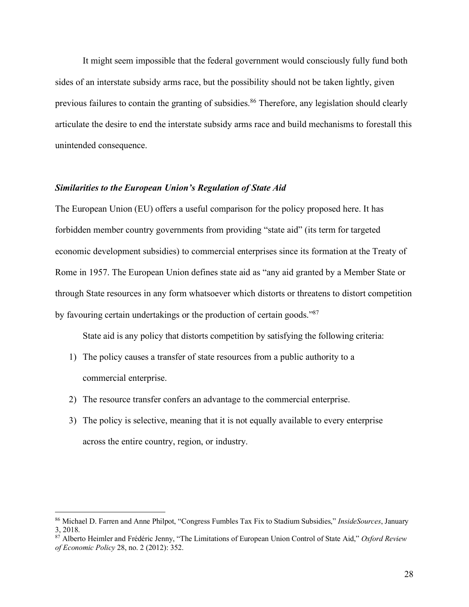It might seem impossible that the federal government would consciously fully fund both sides of an interstate subsidy arms race, but the possibility should not be taken lightly, given previous failures to contain the granting of subsidies.<sup>86</sup> Therefore, any legislation should clearly articulate the desire to end the interstate subsidy arms race and build mechanisms to forestall this unintended consequence.

# *Similarities to the European Union's Regulation of State Aid*

The European Union (EU) offers a useful comparison for the policy proposed here. It has forbidden member country governments from providing "state aid" (its term for targeted economic development subsidies) to commercial enterprises since its formation at the Treaty of Rome in 1957. The European Union defines state aid as "any aid granted by a Member State or through State resources in any form whatsoever which distorts or threatens to distort competition by favouring certain undertakings or the production of certain goods."87

State aid is any policy that distorts competition by satisfying the following criteria:

- 1) The policy causes a transfer of state resources from a public authority to a commercial enterprise.
- 2) The resource transfer confers an advantage to the commercial enterprise.
- 3) The policy is selective, meaning that it is not equally available to every enterprise across the entire country, region, or industry.

 <sup>86</sup> Michael D. Farren and Anne Philpot, "Congress Fumbles Tax Fix to Stadium Subsidies," *InsideSources*, January 3, 2018.

<sup>87</sup> Alberto Heimler and Frédéric Jenny, "The Limitations of European Union Control of State Aid," *Oxford Review of Economic Policy* 28, no. 2 (2012): 352.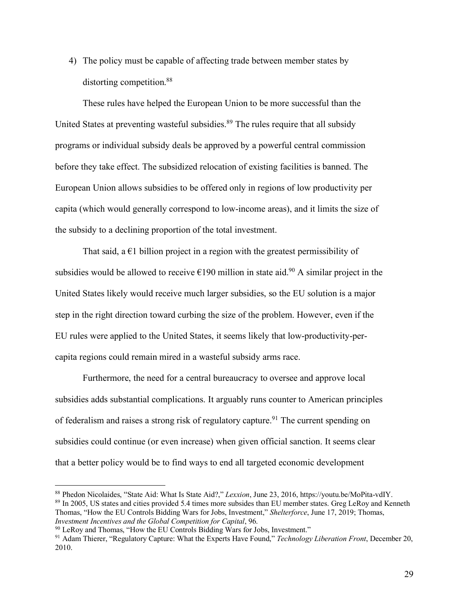4) The policy must be capable of affecting trade between member states by distorting competition. 88

These rules have helped the European Union to be more successful than the United States at preventing wasteful subsidies.<sup>89</sup> The rules require that all subsidy programs or individual subsidy deals be approved by a powerful central commission before they take effect. The subsidized relocation of existing facilities is banned. The European Union allows subsidies to be offered only in regions of low productivity per capita (which would generally correspond to low-income areas), and it limits the size of the subsidy to a declining proportion of the total investment.

That said,  $a \in I$  billion project in a region with the greatest permissibility of subsidies would be allowed to receive  $\epsilon$ 190 million in state aid.<sup>90</sup> A similar project in the United States likely would receive much larger subsidies, so the EU solution is a major step in the right direction toward curbing the size of the problem. However, even if the EU rules were applied to the United States, it seems likely that low-productivity-percapita regions could remain mired in a wasteful subsidy arms race.

Furthermore, the need for a central bureaucracy to oversee and approve local subsidies adds substantial complications. It arguably runs counter to American principles of federalism and raises a strong risk of regulatory capture.<sup>91</sup> The current spending on subsidies could continue (or even increase) when given official sanction. It seems clear that a better policy would be to find ways to end all targeted economic development

 <sup>88</sup> Phedon Nicolaides, "State Aid: What Is State Aid?," *Lexxion*, June 23, 2016, [https://youtu.be/MoPita-vdIY.](https://youtu.be/MoPita-vdIY) <sup>89</sup> In 2005, US states and cities provided 5.4 times more subsides than EU member states. Greg LeRoy and Kenneth Thomas, "How the EU Controls Bidding Wars for Jobs, Investment," *Shelterforce*, June 17, 2019; Thomas, *Investment Incentives and the Global Competition for Capital*, 96.

<sup>90</sup> LeRoy and Thomas, "How the EU Controls Bidding Wars for Jobs, Investment."

<sup>91</sup> Adam Thierer, "Regulatory Capture: What the Experts Have Found," *Technology Liberation Front*, December 20, 2010.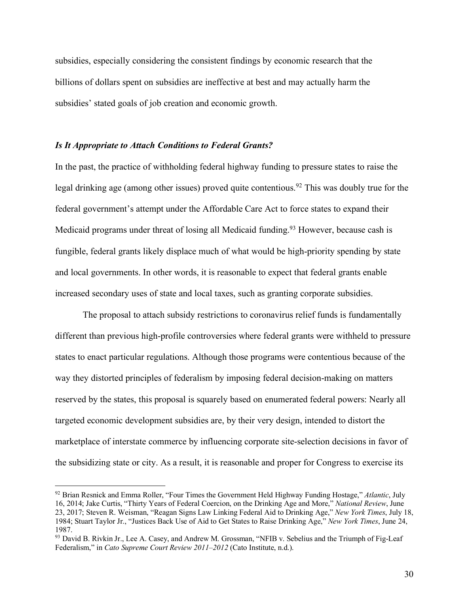subsidies, especially considering the consistent findings by economic research that the billions of dollars spent on subsidies are ineffective at best and may actually harm the subsidies' stated goals of job creation and economic growth.

# *Is It Appropriate to Attach Conditions to Federal Grants?*

In the past, the practice of withholding federal highway funding to pressure states to raise the legal drinking age (among other issues) proved quite contentious.<sup>92</sup> This was doubly true for the federal government's attempt under the Affordable Care Act to force states to expand their Medicaid programs under threat of losing all Medicaid funding.<sup>93</sup> However, because cash is fungible, federal grants likely displace much of what would be high-priority spending by state and local governments. In other words, it is reasonable to expect that federal grants enable increased secondary uses of state and local taxes, such as granting corporate subsidies.

The proposal to attach subsidy restrictions to coronavirus relief funds is fundamentally different than previous high-profile controversies where federal grants were withheld to pressure states to enact particular regulations. Although those programs were contentious because of the way they distorted principles of federalism by imposing federal decision-making on matters reserved by the states, this proposal is squarely based on enumerated federal powers: Nearly all targeted economic development subsidies are, by their very design, intended to distort the marketplace of interstate commerce by influencing corporate site-selection decisions in favor of the subsidizing state or city. As a result, it is reasonable and proper for Congress to exercise its

 <sup>92</sup> Brian Resnick and Emma Roller, "Four Times the Government Held Highway Funding Hostage," *Atlantic*, July 16, 2014; Jake Curtis, "Thirty Years of Federal Coercion, on the Drinking Age and More," *National Review*, June 23, 2017; Steven R. Weisman, "Reagan Signs Law Linking Federal Aid to Drinking Age," *New York Times*, July 18, 1984; Stuart Taylor Jr., "Justices Back Use of Aid to Get States to Raise Drinking Age," *New York Times*, June 24, 1987.

<sup>&</sup>lt;sup>93</sup> David B. Rivkin Jr., Lee A. Casey, and Andrew M. Grossman, "NFIB v. Sebelius and the Triumph of Fig-Leaf Federalism," in *Cato Supreme Court Review 2011–2012* (Cato Institute, n.d.).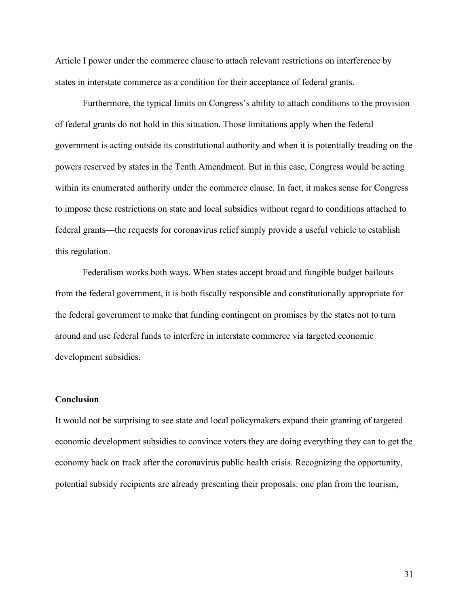Article I power under the commerce clause to attach relevant restrictions on interference by states in interstate commerce as a condition for their acceptance of federal grants.

Furthermore, the typical limits on Congress's ability to attach conditions to the provision of federal grants do not hold in this situation. Those limitations apply when the federal government is acting outside its constitutional authority and when it is potentially treading on the powers reserved by states in the Tenth Amendment. But in this case, Congress would be acting within its enumerated authority under the commerce clause. In fact, it makes sense for Congress to impose these restrictions on state and local subsidies without regard to conditions attached to federal grants—the requests for coronavirus relief simply provide a useful vehicle to establish this regulation.

Federalism works both ways. When states accept broad and fungible budget bailouts from the federal government, it is both fiscally responsible and constitutionally appropriate for the federal government to make that funding contingent on promises by the states not to turn around and use federal funds to interfere in interstate commerce via targeted economic development subsidies.

# **Conclusion**

It would not be surprising to see state and local policymakers expand their granting of targeted economic development subsidies to convince voters they are doing everything they can to get the economy back on track after the coronavirus public health crisis. Recognizing the opportunity, potential subsidy recipients are already presenting their proposals: one plan from the tourism,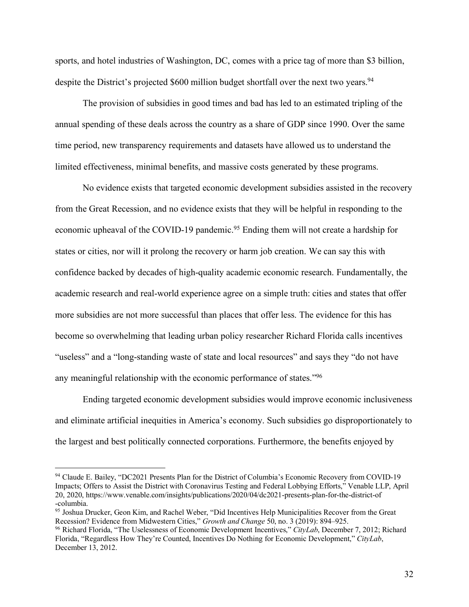sports, and hotel industries of Washington, DC, comes with a price tag of more than \$3 billion, despite the District's projected \$600 million budget shortfall over the next two years.<sup>94</sup>

The provision of subsidies in good times and bad has led to an estimated tripling of the annual spending of these deals across the country as a share of GDP since 1990. Over the same time period, new transparency requirements and datasets have allowed us to understand the limited effectiveness, minimal benefits, and massive costs generated by these programs.

No evidence exists that targeted economic development subsidies assisted in the recovery from the Great Recession, and no evidence exists that they will be helpful in responding to the economic upheaval of the COVID-19 pandemic.<sup>95</sup> Ending them will not create a hardship for states or cities, nor will it prolong the recovery or harm job creation. We can say this with confidence backed by decades of high-quality academic economic research. Fundamentally, the academic research and real-world experience agree on a simple truth: cities and states that offer more subsidies are not more successful than places that offer less. The evidence for this has become so overwhelming that leading urban policy researcher Richard Florida calls incentives "useless" and a "long-standing waste of state and local resources" and says they "do not have any meaningful relationship with the economic performance of states."96

Ending targeted economic development subsidies would improve economic inclusiveness and eliminate artificial inequities in America's economy. Such subsidies go disproportionately to the largest and best politically connected corporations. Furthermore, the benefits enjoyed by

<sup>&</sup>lt;sup>94</sup> Claude E. Bailey, "DC2021 Presents Plan for the District of Columbia's Economic Recovery from COVID-19 Impacts; Offers to Assist the District with Coronavirus Testing and Federal Lobbying Efforts," Venable LLP, April 20, 2020, https://www.venable.com/insights/publications/2020/04/dc2021-presents-plan-for-the-district-of -columbia.

<sup>&</sup>lt;sup>95</sup> Joshua Drucker, Geon Kim, and Rachel Weber, "Did Incentives Help Municipalities Recover from the Great Recession? Evidence from Midwestern Cities," *Growth and Change* 50, no. 3 (2019): 894–925.

<sup>&</sup>lt;sup>96</sup> Richard Florida, "The Uselessness of Economic Development Incentives," *CityLab*, December 7, 2012; Richard Florida, "Regardless How They're Counted, Incentives Do Nothing for Economic Development," *CityLab*, December 13, 2012.